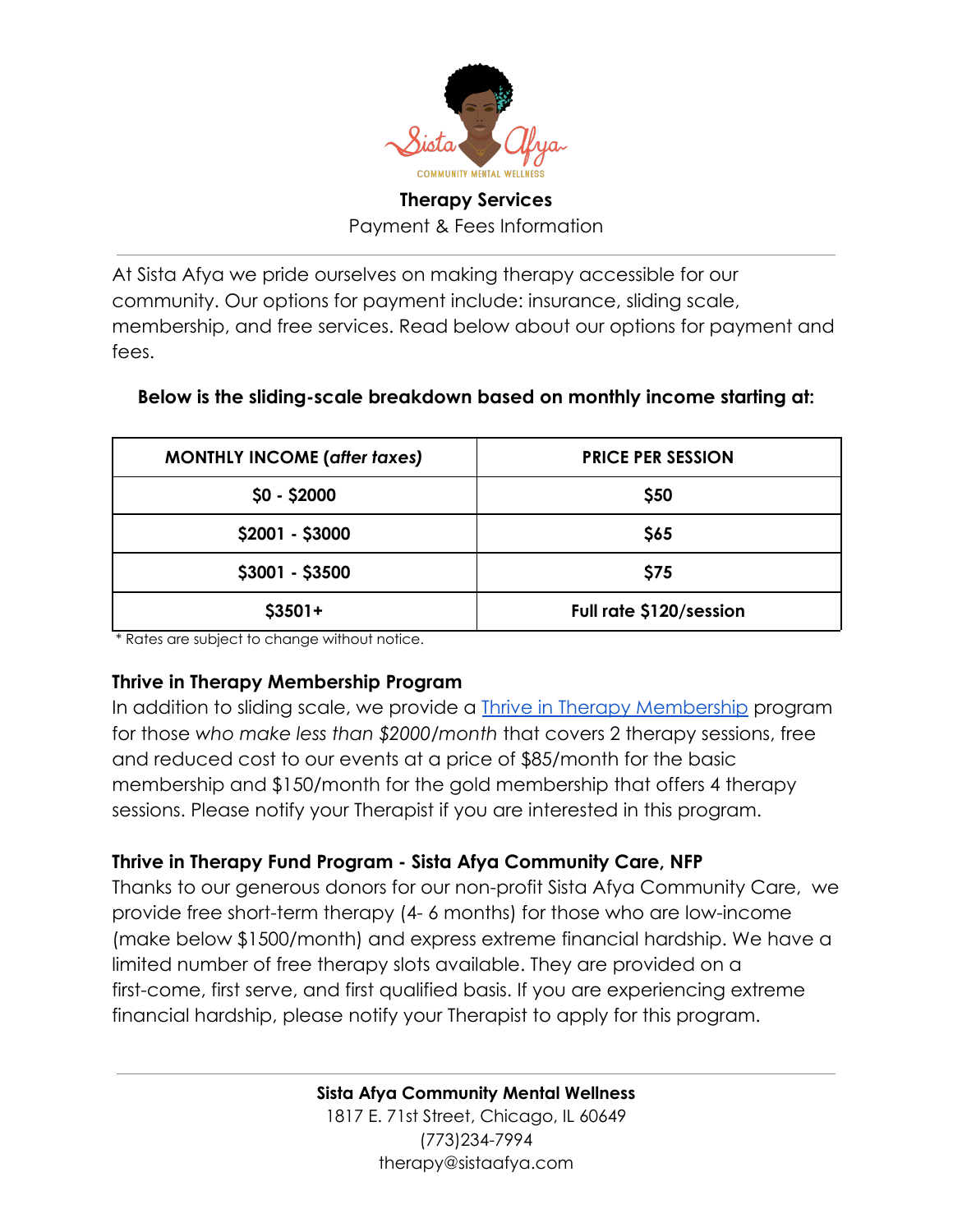

### **Therapy Services** Payment & Fees Information

At Sista Afya we pride ourselves on making therapy accessible for our community. Our options for payment include: insurance, sliding scale, membership, and free services. Read below about our options for payment and fees.

| <b>MONTHLY INCOME (after taxes)</b> | <b>PRICE PER SESSION</b> |
|-------------------------------------|--------------------------|
| $$0 - $2000$                        | \$50                     |
| \$2001 - \$3000                     | \$65                     |
| \$3001 - \$3500                     | \$75                     |
| $$3501+$                            | Full rate \$120/session  |

#### **Below is the sliding-scale breakdown based on monthly income starting at:**

\* Rates are subject to change without notice.

### **Thrive in Therapy Membership Program**

In addition to sliding scale, we provide a **Thrive [in Therapy Membership](http://www.sistaafya.com/thrive-membership)** program for those *who make less than \$2000/month* that covers 2 therapy sessions, free and reduced cost to our events at a price of \$85/month for the basic membership and \$150/month for the gold membership that offers 4 therapy sessions. Please notify your Therapist if you are interested in this program.

### **Thrive in Therapy Fund Program - Sista Afya Community Care, NFP**

Thanks to our generous donors for our non-profit Sista Afya Community Care, we provide free short-term therapy (4- 6 months) for those who are low-income (make below \$1500/month) and express extreme financial hardship. We have a limited number of free therapy slots available. They are provided on a first-come, first serve, and first qualified basis. If you are experiencing extreme financial hardship, please notify your Therapist to apply for this program.

> **Sista Afya Community Mental Wellness** 1817 E. 71st Street, Chicago, IL 60649 (773)234-7994 therapy@sistaafya.com